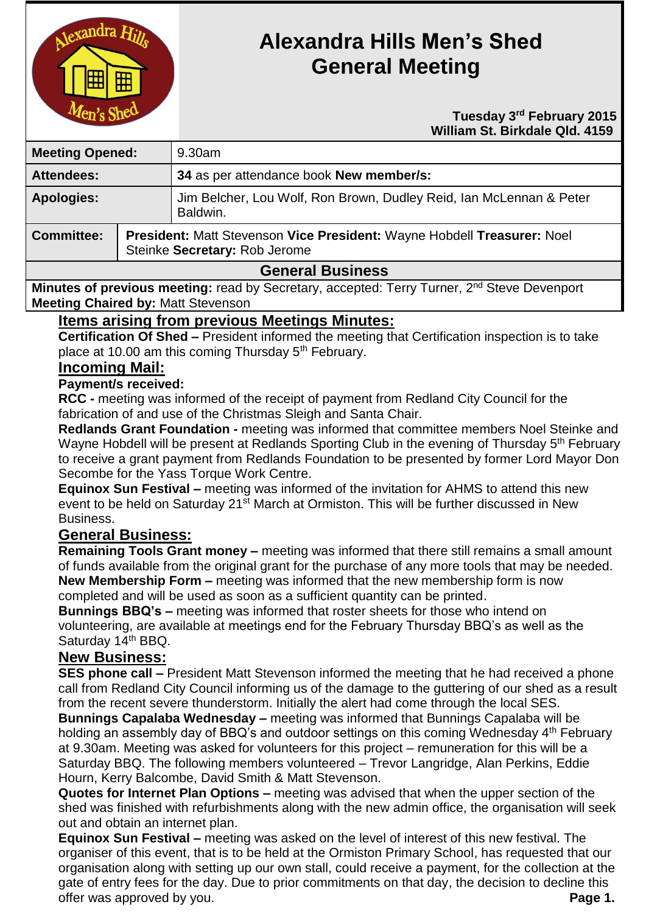

# **Alexandra Hills Men's Shed General Meeting**

#### **Tuesday** 3<sup>rd</sup> February 2015  **William St. Birkdale Qld. 4159**

| <b>Meeting Opened:</b>  |                                                                                                          | 9.30am                                                                          |
|-------------------------|----------------------------------------------------------------------------------------------------------|---------------------------------------------------------------------------------|
| <b>Attendees:</b>       |                                                                                                          | 34 as per attendance book New member/s:                                         |
| <b>Apologies:</b>       |                                                                                                          | Jim Belcher, Lou Wolf, Ron Brown, Dudley Reid, Ian McLennan & Peter<br>Baldwin. |
| <b>Committee:</b>       | President: Matt Stevenson Vice President: Wayne Hobdell Treasurer: Noel<br>Steinke Secretary: Rob Jerome |                                                                                 |
| <b>General Business</b> |                                                                                                          |                                                                                 |

#### **General Business**

**Minutes of previous meeting:** read by Secretary, accepted: Terry Turner, 2<sup>nd</sup> Steve Devenport **Meeting Chaired by:** Matt Stevenson

#### **Items arising from previous Meetings Minutes:**

**Certification Of Shed –** President informed the meeting that Certification inspection is to take place at 10.00 am this coming Thursday 5<sup>th</sup> February.

## **Incoming Mail:**

#### **Payment/s received:**

**RCC -** meeting was informed of the receipt of payment from Redland City Council for the fabrication of and use of the Christmas Sleigh and Santa Chair.

**Redlands Grant Foundation -** meeting was informed that committee members Noel Steinke and Wayne Hobdell will be present at Redlands Sporting Club in the evening of Thursday 5<sup>th</sup> February to receive a grant payment from Redlands Foundation to be presented by former Lord Mayor Don Secombe for the Yass Torque Work Centre.

**Equinox Sun Festival –** meeting was informed of the invitation for AHMS to attend this new event to be held on Saturday 21<sup>st</sup> March at Ormiston. This will be further discussed in New Business.

## **General Business:**

**Remaining Tools Grant money –** meeting was informed that there still remains a small amount of funds available from the original grant for the purchase of any more tools that may be needed. **New Membership Form –** meeting was informed that the new membership form is now completed and will be used as soon as a sufficient quantity can be printed.

**Bunnings BBQ's –** meeting was informed that roster sheets for those who intend on volunteering, are available at meetings end for the February Thursday BBQ's as well as the Saturday 14<sup>th</sup> BBQ.

## **New Business:**

**SES phone call –** President Matt Stevenson informed the meeting that he had received a phone call from Redland City Council informing us of the damage to the guttering of our shed as a result from the recent severe thunderstorm. Initially the alert had come through the local SES.

**Bunnings Capalaba Wednesday –** meeting was informed that Bunnings Capalaba will be holding an assembly day of BBQ's and outdoor settings on this coming Wednesday 4<sup>th</sup> February at 9.30am. Meeting was asked for volunteers for this project – remuneration for this will be a Saturday BBQ. The following members volunteered – Trevor Langridge, Alan Perkins, Eddie Hourn, Kerry Balcombe, David Smith & Matt Stevenson.

**Quotes for Internet Plan Options –** meeting was advised that when the upper section of the shed was finished with refurbishments along with the new admin office, the organisation will seek out and obtain an internet plan.

**Equinox Sun Festival –** meeting was asked on the level of interest of this new festival. The organiser of this event, that is to be held at the Ormiston Primary School, has requested that our organisation along with setting up our own stall, could receive a payment, for the collection at the gate of entry fees for the day. Due to prior commitments on that day, the decision to decline this offer was approved by you. **Page 1.**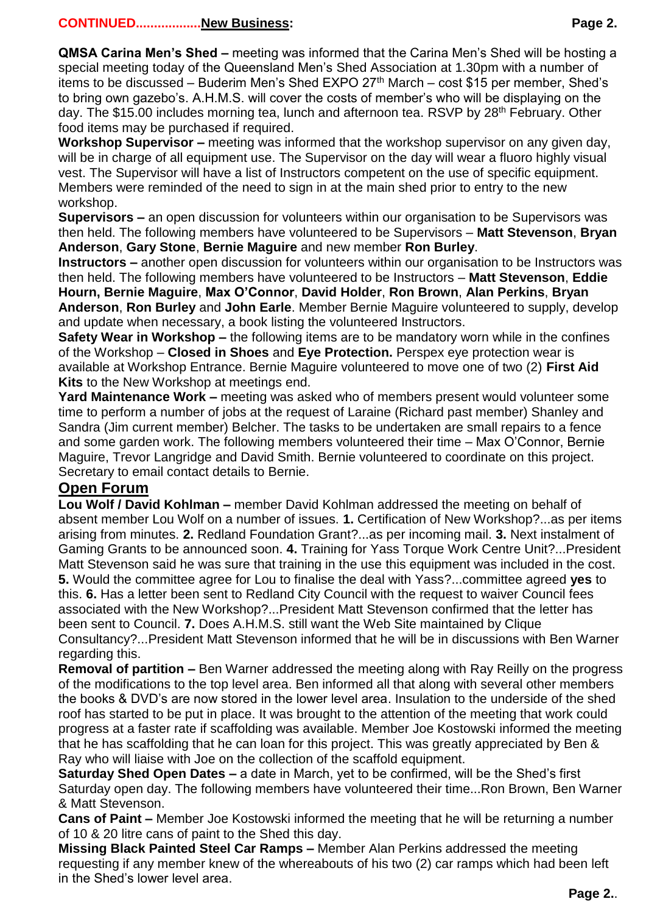#### **CONTINUED..................New Business: Page 2.**

**QMSA Carina Men's Shed –** meeting was informed that the Carina Men's Shed will be hosting a special meeting today of the Queensland Men's Shed Association at 1.30pm with a number of items to be discussed – Buderim Men's Shed EXPO  $27<sup>th</sup>$  March – cost \$15 per member, Shed's to bring own gazebo's. A.H.M.S. will cover the costs of member's who will be displaying on the day. The \$15.00 includes morning tea, lunch and afternoon tea. RSVP by 28th February. Other food items may be purchased if required.

**Workshop Supervisor –** meeting was informed that the workshop supervisor on any given day, will be in charge of all equipment use. The Supervisor on the day will wear a fluoro highly visual vest. The Supervisor will have a list of Instructors competent on the use of specific equipment. Members were reminded of the need to sign in at the main shed prior to entry to the new workshop.

**Supervisors –** an open discussion for volunteers within our organisation to be Supervisors was then held. The following members have volunteered to be Supervisors – **Matt Stevenson**, **Bryan Anderson**, **Gary Stone**, **Bernie Maguire** and new member **Ron Burley**.

**Instructors –** another open discussion for volunteers within our organisation to be Instructors was then held. The following members have volunteered to be Instructors – **Matt Stevenson**, **Eddie Hourn, Bernie Maguire**, **Max O'Connor**, **David Holder**, **Ron Brown**, **Alan Perkins**, **Bryan Anderson**, **Ron Burley** and **John Earle**. Member Bernie Maguire volunteered to supply, develop and update when necessary, a book listing the volunteered Instructors.

**Safety Wear in Workshop –** the following items are to be mandatory worn while in the confines of the Workshop – **Closed in Shoes** and **Eye Protection.** Perspex eye protection wear is available at Workshop Entrance. Bernie Maguire volunteered to move one of two (2) **First Aid Kits** to the New Workshop at meetings end.

**Yard Maintenance Work –** meeting was asked who of members present would volunteer some time to perform a number of jobs at the request of Laraine (Richard past member) Shanley and Sandra (Jim current member) Belcher. The tasks to be undertaken are small repairs to a fence and some garden work. The following members volunteered their time – Max O'Connor, Bernie Maguire, Trevor Langridge and David Smith. Bernie volunteered to coordinate on this project. Secretary to email contact details to Bernie.

## **Open Forum**

**Lou Wolf / David Kohlman –** member David Kohlman addressed the meeting on behalf of absent member Lou Wolf on a number of issues. **1.** Certification of New Workshop?...as per items arising from minutes. **2.** Redland Foundation Grant?...as per incoming mail. **3.** Next instalment of Gaming Grants to be announced soon. **4.** Training for Yass Torque Work Centre Unit?...President Matt Stevenson said he was sure that training in the use this equipment was included in the cost. **5.** Would the committee agree for Lou to finalise the deal with Yass?...committee agreed **yes** to this. **6.** Has a letter been sent to Redland City Council with the request to waiver Council fees associated with the New Workshop?...President Matt Stevenson confirmed that the letter has been sent to Council. **7.** Does A.H.M.S. still want the Web Site maintained by Clique Consultancy?...President Matt Stevenson informed that he will be in discussions with Ben Warner regarding this.

**Removal of partition –** Ben Warner addressed the meeting along with Ray Reilly on the progress of the modifications to the top level area. Ben informed all that along with several other members the books & DVD's are now stored in the lower level area. Insulation to the underside of the shed roof has started to be put in place. It was brought to the attention of the meeting that work could progress at a faster rate if scaffolding was available. Member Joe Kostowski informed the meeting that he has scaffolding that he can loan for this project. This was greatly appreciated by Ben & Ray who will liaise with Joe on the collection of the scaffold equipment.

**Saturday Shed Open Dates –** a date in March, yet to be confirmed, will be the Shed's first Saturday open day. The following members have volunteered their time...Ron Brown, Ben Warner & Matt Stevenson.

**Cans of Paint –** Member Joe Kostowski informed the meeting that he will be returning a number of 10 & 20 litre cans of paint to the Shed this day.

**Missing Black Painted Steel Car Ramps –** Member Alan Perkins addressed the meeting requesting if any member knew of the whereabouts of his two (2) car ramps which had been left in the Shed's lower level area.